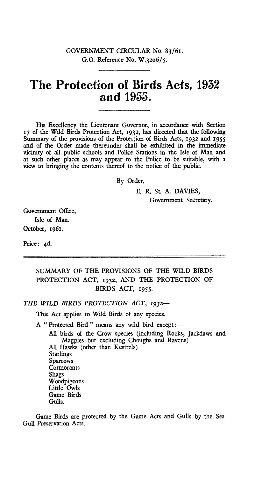## GOVERNMENT CIRCULAR No. 83/61. G.O. Reference No. W.32o6/5.

## **The Protection of Birds Acts, 1932 and 1955.**

His Excellency the Lieutenant Governor, in accordance with Section 17 of the Wild Birds Protection Act, 1932, has directed that the following Summary of the provisions of the Protection of Birds Acts, 1932 and 1955 and of the Order made thereunder shall be exhibited in the immediate vicinity of all public schools and Police Stations in the Isle of Man and at such other places as may appear to the Police to be suitable, with a view to bringing the contents thereof to the notice of the public.

By Order,

E. R. St. A. DAVIES,

Government Secretary.

Government Office, Isle of Man. October, 1961.

Price: 4d.

## SUMMARY OF THE PROVISIONS OF THE WILD BIRDS PROTECTION ACT, 1932, AND THE PROTECTION OF BIRDS ACT, 1955.

*THE WILD BIRDS PROTECTION ACT, 1932—*

This Act applies to Wild Birds of any species.

A " Protected Bird " means any wild bird except:—

All birds of the Crow species (including Rooks, Jackdaws and Magpies but excluding Choughs and Ravens) All Hawks (other than Kestrels) Starlings Sparrows **Cormorants** Shags Woodpigeons Little Owls Game Birds Gulls.

Game Birds are protected by the Game Acts and Gulls by the Sea Gull Preservation Acts.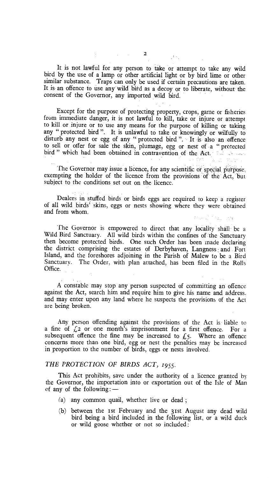It is not lawful for any person to take or attempt to take any wild bird by the use of a lamp or other artificial light or by bird lime or other similar substance. Traps can only be used if certain precautions are taken. It is an offence to use any wild bird as a decoy or to liberate, without the consent of the Governor, any imported wild bird.

Except for the purpose of protecting property, crops, game or fisheries from immediate danger, it is not lawful to kill, take or injure or attempt to kill or injure or to use any means for the purpose of killing or taking any " protected bird ". It is unlawful to take or knowingly or wilfully to disturb any nest or egg of any " protected bird ". It is also an offence to sell or offer for sale the skin, plumage, egg or nest of a " protected bird " which had been obtained in contravention of the Act.

The Governor may issue a licence, for any scientific or special purpose, exempting the holder of the licence from the provisions of the Act, but subject to the conditions set out on the licence.

Dealers in stuffed birds or birds eggs are required to keep a register of all wild birds' skins, eggs or nests showing where they were obtained and from whom.

the Colorado and

The Governor is empowered to direct that any locality shall be a Wild Bird Sanctuary. All wild birds within the confines of the Sanctuary then become protected birds. One such Order has been made declaring the district comprising the estates of Derbyhaven, Langness and Fort Island, and the foreshores adjoining in the Parish of Malew to be a Bird Sanctuary. The Order, with plan attached, has been filed in the Rolls Office.

A constable may stop any person suspected of committing an offence against the Act, search him and require him to give his name and address. and may enter upon any land where he suspects the provisions of the Act are being broken.

Any person offending against the provisions of the Act is liable to a fine of  $\sqrt{2}$  or one month's imprisonment for a first offence. For a subsequent offence the fine may be increased to  $f_5$ . Where an offence concerns more than one bird, egg or nest the penalties may be increased in proportion to the number of birds, eggs or nests involved.

## *THE PROTECTION OF BIRDS ACT, 1955.*

This Act prohibits, save under the authority of a licence granted by the Governor, the importation into or exportation out of the Isle of Man of any of the following:—

- (a) any common quail, whether live or dead ;
- (b) between the 1st February and the 31st August any dead wild bird being a bird included in the following list, or a wild duck or wild goose whether or not so included :

 $\mathcal{F}^{(1)}$  .

 $\mathcal{L}^{\text{max}}_{\text{max}}$  and  $\mathcal{L}^{\text{max}}_{\text{max}}$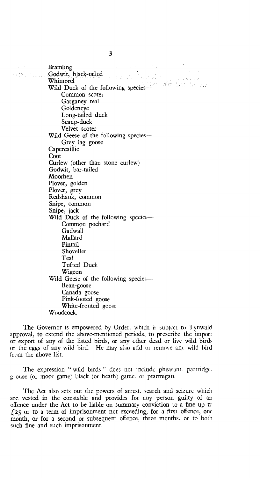$\label{eq:2.1} \mathcal{L}=\mathcal{L}(\mathbf{q},\mathbf{q})\otimes\mathcal{L}(\mathbf{q},\mathbf{q})\otimes\mathcal{L}(\mathbf{q})$ Bramling Godwit, black-tailed أأناكم كفاعل  $\hat{\phi}_{\rm{eff}}$ Whimbrel Wild Duck of the following species— Common scoter Garganey teal Goldeneye Long-tailed duck Scaup-duck Velvet scoter Wild Geese of the following species— Grey lag goose **Capercaillie** Coot Curlew (other than stone curlew) Godwit, bar-tailed Moorhen Plover, golden Plover, grey Redshank, common Snipe, common Snipe, jack Wild Duck of the following species— Common pochard **Gadwall** Mallard Pintail Shoveller Teal Tufted Duck Wigeon Wild Geese of the following species---Bean-goose Canada goose Pink-footed goose White-fronted goose Woodcock.

The Governor is empowered by Order, which is subject to Tynwald approval, to extend the above-mentioned periods, to prescribe the import or export of any of the listed birds, or any other dead or live wild birds or the eggs of any wild bird. He may also add or remove any wild bird from the above list.

The expression " wild birds " does not include pheasant. partridge. grouse (or moor game) black (or heath) game, or ptarmigan.

The Act also sets out the powers of arrest, search and seizure which are vested in the constable and provides for any person guilty of an offence under the Act to be liable on summary conviction to a fine up to £25 or to a term of imprisonment not exceeding, for a first offence, one month, or for a second or subsequent offence, three months. or to both such fine and such imprisonment.